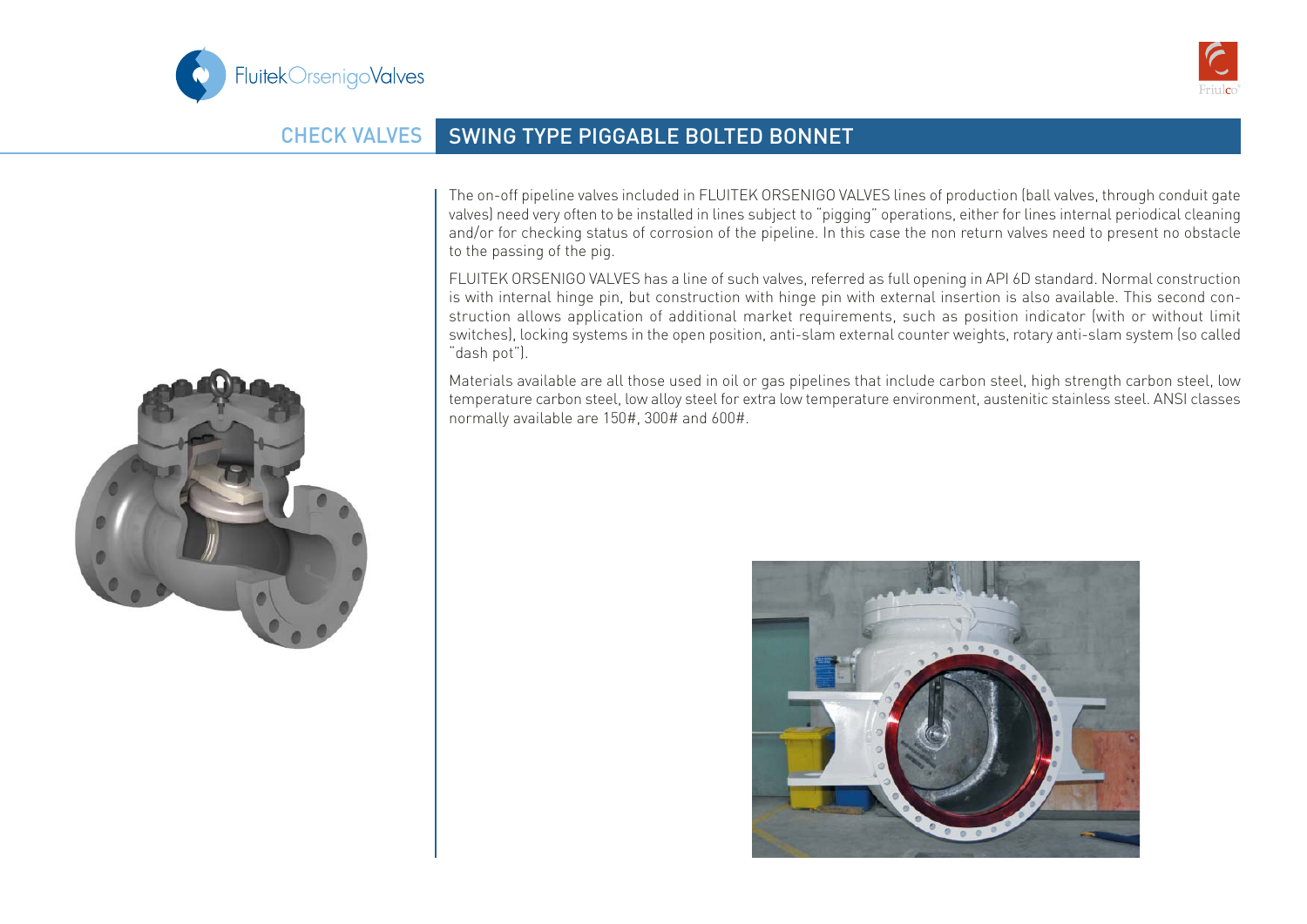



## CHECK VALVES SWING TYPE PIGGABLE BOLTED BONNET

The on-off pipeline valves included in FLUITEK ORSENIGO VALVES lines of production (ball valves, through conduit gate valves) need very often to be installed in lines subject to "pigging" operations, either for lines internal periodical cleaning and/or for checking status of corrosion of the pipeline. In this case the non return valves need to present no obstacle to the passing of the pig.

FLUITEK ORSENIGO VALVES has a line of such valves, referred as full opening in API 6D standard. Normal construction is with internal hinge pin, but construction with hinge pin with external insertion is also available. This second construction allows application of additional market requirements, such as position indicator (with or without limit switches), locking systems in the open position, anti-slam external counter weights, rotary anti-slam system (so called "dash pot").

Materials available are all those used in oil or gas pipelines that include carbon steel, high strength carbon steel, low temperature carbon steel, low alloy steel for extra low temperature environment, austenitic stainless steel. ANSI classes normally available are 150#, 300# and 600#.